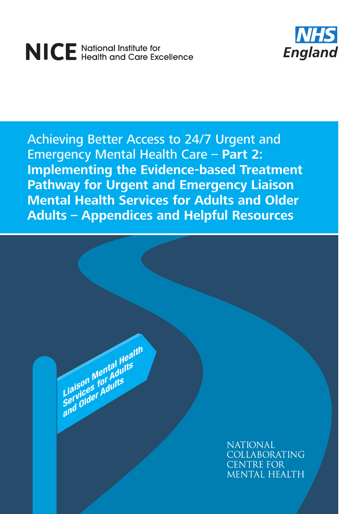# NICE National Institute for<br>NICE Health and Care Excellence



Achieving Better Access to 24/7 Urgent and Emergency Mental Health Care – **Part 2: Implementing the Evidence-based Treatment Pathway for Urgent and Emergency Liaison Mental Health Services for Adults and Older Adults – Appendices and Helpful Resources**

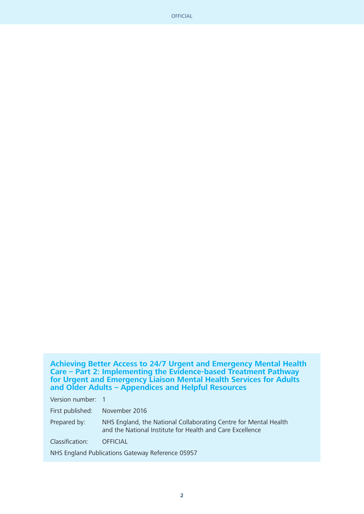**Achieving Better Access to 24/7 Urgent and Emergency Mental Health Care – Part 2: Implementing the Evidence-based Treatment Pathway for Urgent and Emergency Liaison Mental Health Services for Adults and Older Adults – Appendices and Helpful Resources**

Version number: 1

First published: November 2016

Prepared by: NHS England, the National Collaborating Centre for Mental Health and the National Institute for Health and Care Excellence

Classification: OFFICIAL

NHS England Publications Gateway Reference 05957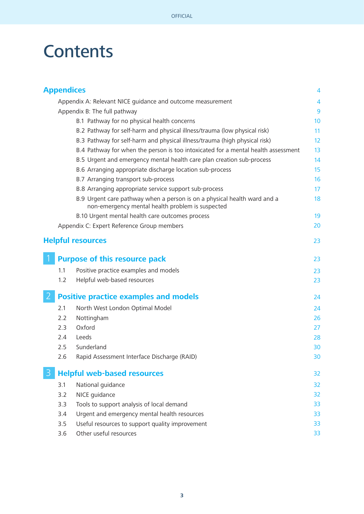## **Contents**

|   | <b>Appendices</b> |                                                                                                                              | 4              |
|---|-------------------|------------------------------------------------------------------------------------------------------------------------------|----------------|
|   |                   | Appendix A: Relevant NICE guidance and outcome measurement                                                                   | $\overline{4}$ |
|   |                   | Appendix B: The full pathway                                                                                                 | 9              |
|   |                   | B.1 Pathway for no physical health concerns                                                                                  | 10             |
|   |                   | B.2 Pathway for self-harm and physical illness/trauma (low physical risk)                                                    | 11             |
|   |                   | B.3 Pathway for self-harm and physical illness/trauma (high physical risk)                                                   | 12             |
|   |                   | B.4 Pathway for when the person is too intoxicated for a mental health assessment                                            | 13             |
|   |                   | B.5 Urgent and emergency mental health care plan creation sub-process                                                        | 14             |
|   |                   | B.6 Arranging appropriate discharge location sub-process                                                                     | 15             |
|   |                   | B.7 Arranging transport sub-process                                                                                          | 16             |
|   |                   | B.8 Arranging appropriate service support sub-process                                                                        | 17             |
|   |                   | B.9 Urgent care pathway when a person is on a physical health ward and a<br>non-emergency mental health problem is suspected | 18             |
|   |                   | B.10 Urgent mental health care outcomes process                                                                              | 19             |
|   |                   | Appendix C: Expert Reference Group members                                                                                   | 20             |
|   |                   | <b>Helpful resources</b>                                                                                                     | 23             |
|   |                   | <b>Purpose of this resource pack</b>                                                                                         | 23             |
|   | 1.1               | Positive practice examples and models                                                                                        | 23             |
|   | 1.2               | Helpful web-based resources                                                                                                  | 23             |
| 2 |                   | <b>Positive practice examples and models</b>                                                                                 | 24             |
|   | 2.1               | North West London Optimal Model                                                                                              | 24             |
|   | 2.2               | Nottingham                                                                                                                   | 26             |
|   | 2.3               | Oxford                                                                                                                       | 27             |
|   | 2.4               | Leeds                                                                                                                        | 28             |
|   | 2.5               | Sunderland                                                                                                                   | 30             |
|   | 2.6               | Rapid Assessment Interface Discharge (RAID)                                                                                  | 30             |
| 3 |                   | <b>Helpful web-based resources</b>                                                                                           | 32             |
|   | 3.1               | National guidance                                                                                                            | 32             |
|   | 3.2               | NICE quidance                                                                                                                | 32             |
|   | 3.3               | Tools to support analysis of local demand                                                                                    | 33             |
|   | 3.4               | Urgent and emergency mental health resources                                                                                 | 33             |
|   | 3.5               | Useful resources to support quality improvement                                                                              | 33             |
|   | 3.6               | Other useful resources                                                                                                       | 33             |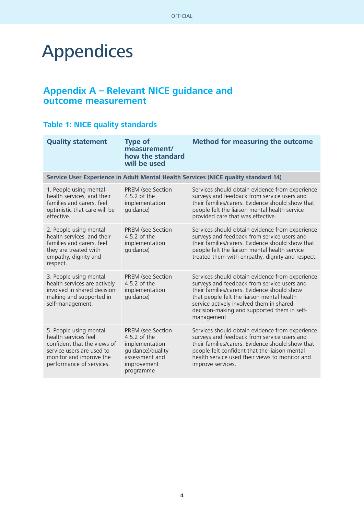## Appendices

#### **Appendix A – Relevant NICE guidance and outcome measurement**

#### **Table 1: NICE quality standards**

| <b>Quality statement</b>                                                                                                                                          | <b>Type of</b><br>measurement/<br>how the standard<br>will be used                                                     | <b>Method for measuring the outcome</b>                                                                                                                                                                                                                                                              |  |  |
|-------------------------------------------------------------------------------------------------------------------------------------------------------------------|------------------------------------------------------------------------------------------------------------------------|------------------------------------------------------------------------------------------------------------------------------------------------------------------------------------------------------------------------------------------------------------------------------------------------------|--|--|
|                                                                                                                                                                   | Service User Experience in Adult Mental Health Services (NICE quality standard 14)                                     |                                                                                                                                                                                                                                                                                                      |  |  |
| 1. People using mental<br>health services, and their<br>families and carers, feel<br>optimistic that care will be<br>effective.                                   | <b>PREM</b> (see Section<br>4.5.2 of the<br>implementation<br>quidance)                                                | Services should obtain evidence from experience<br>surveys and feedback from service users and<br>their families/carers. Evidence should show that<br>people felt the liaison mental health service<br>provided care that was effective.                                                             |  |  |
| 2. People using mental<br>health services, and their<br>families and carers, feel<br>they are treated with<br>empathy, dignity and<br>respect.                    | PREM (see Section<br>4.5.2 of the<br>implementation<br>quidance)                                                       | Services should obtain evidence from experience<br>surveys and feedback from service users and<br>their families/carers. Evidence should show that<br>people felt the liaison mental health service<br>treated them with empathy, dignity and respect.                                               |  |  |
| 3. People using mental<br>health services are actively<br>involved in shared decision-<br>making and supported in<br>self-management.                             | PREM (see Section<br>4.5.2 of the<br>implementation<br>quidance)                                                       | Services should obtain evidence from experience<br>surveys and feedback from service users and<br>their families/carers. Evidence should show<br>that people felt the liaison mental health<br>service actively involved them in shared<br>decision-making and supported them in self-<br>management |  |  |
| 5. People using mental<br>health services feel<br>confident that the views of<br>service users are used to<br>monitor and improve the<br>performance of services. | PREM (see Section<br>4.5.2 of the<br>implementation<br>quidance)/quality<br>assessment and<br>improvement<br>programme | Services should obtain evidence from experience<br>surveys and feedback from service users and<br>their families/carers. Evidence should show that<br>people felt confident that the liaison mental<br>health service used their views to monitor and<br>improve services.                           |  |  |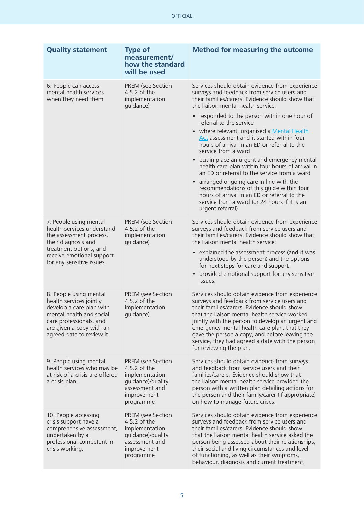| <b>Quality statement</b>                                                                                                                                                                      | <b>Type of</b><br>measurement/<br>how the standard<br>will be used                                                            | <b>Method for measuring the outcome</b>                                                                                                                                                                                                                                                                                                                                                                                            |  |
|-----------------------------------------------------------------------------------------------------------------------------------------------------------------------------------------------|-------------------------------------------------------------------------------------------------------------------------------|------------------------------------------------------------------------------------------------------------------------------------------------------------------------------------------------------------------------------------------------------------------------------------------------------------------------------------------------------------------------------------------------------------------------------------|--|
| 6. People can access<br>mental health services<br>when they need them.                                                                                                                        | PREM (see Section<br>4.5.2 of the<br>implementation<br>guidance)                                                              | Services should obtain evidence from experience<br>surveys and feedback from service users and<br>their families/carers. Evidence should show that<br>the liaison mental health service:                                                                                                                                                                                                                                           |  |
|                                                                                                                                                                                               |                                                                                                                               | • responded to the person within one hour of<br>referral to the service<br>• where relevant, organised a Mental Health<br>Act assessment and it started within four<br>hours of arrival in an ED or referral to the<br>service from a ward                                                                                                                                                                                         |  |
|                                                                                                                                                                                               |                                                                                                                               | • put in place an urgent and emergency mental<br>health care plan within four hours of arrival in<br>an ED or referral to the service from a ward<br>arranged ongoing care in line with the<br>recommendations of this guide within four<br>hours of arrival in an ED or referral to the<br>service from a ward (or 24 hours if it is an<br>urgent referral).                                                                      |  |
| 7. People using mental<br>health services understand<br>the assessment process,<br>their diagnosis and<br>treatment options, and<br>receive emotional support<br>for any sensitive issues.    | <b>PREM</b> (see Section<br>4.5.2 of the<br>implementation<br>guidance)                                                       | Services should obtain evidence from experience<br>surveys and feedback from service users and<br>their families/carers. Evidence should show that<br>the liaison mental health service:<br>• explained the assessment process (and it was<br>understood by the person) and the options<br>for next steps for care and support<br>provided emotional support for any sensitive<br>issues.                                          |  |
| 8. People using mental<br>health services jointly<br>develop a care plan with<br>mental health and social<br>care professionals, and<br>are given a copy with an<br>agreed date to review it. | <b>PREM</b> (see Section<br>4.5.2 of the<br>implementation<br>quidance)                                                       | Services should obtain evidence from experience<br>surveys and feedback from service users and<br>their families/carers. Evidence should show<br>that the liaison mental health service worked<br>jointly with the person to develop an urgent and<br>emergency mental health care plan, that they<br>gave the person a copy, and before leaving the<br>service, they had agreed a date with the person<br>for reviewing the plan. |  |
| 9. People using mental<br>health services who may be<br>at risk of a crisis are offered<br>a crisis plan.                                                                                     | <b>PREM</b> (see Section<br>4.5.2 of the<br>implementation<br>guidance)/quality<br>assessment and<br>improvement<br>programme | Services should obtain evidence from surveys<br>and feedback from service users and their<br>families/carers. Evidence should show that<br>the liaison mental health service provided the<br>person with a written plan detailing actions for<br>the person and their family/carer (if appropriate)<br>on how to manage future crises.                                                                                             |  |
| 10. People accessing<br>crisis support have a<br>comprehensive assessment,<br>undertaken by a<br>professional competent in<br>crisis working.                                                 | PREM (see Section<br>4.5.2 of the<br>implementation<br>guidance)/quality<br>assessment and<br>improvement<br>programme        | Services should obtain evidence from experience<br>surveys and feedback from service users and<br>their families/carers. Evidence should show<br>that the liaison mental health service asked the<br>person being assessed about their relationships,<br>their social and living circumstances and level<br>of functioning, as well as their symptoms,<br>behaviour, diagnosis and current treatment.                              |  |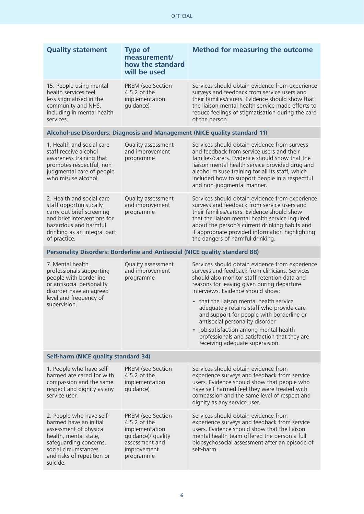| <b>Quality statement</b>                                                                                                                                                                          | <b>Type of</b><br>measurement/<br>how the standard<br>will be used                                                             | <b>Method for measuring the outcome</b>                                                                                                                                                                                                                                                                                                                                                                                                                                                                                                    |  |
|---------------------------------------------------------------------------------------------------------------------------------------------------------------------------------------------------|--------------------------------------------------------------------------------------------------------------------------------|--------------------------------------------------------------------------------------------------------------------------------------------------------------------------------------------------------------------------------------------------------------------------------------------------------------------------------------------------------------------------------------------------------------------------------------------------------------------------------------------------------------------------------------------|--|
| 15. People using mental<br>health services feel<br>less stigmatised in the<br>community and NHS,<br>including in mental health<br>services.                                                       | <b>PREM</b> (see Section<br>4.5.2 of the<br>implementation<br>guidance)                                                        | Services should obtain evidence from experience<br>surveys and feedback from service users and<br>their families/carers. Evidence should show that<br>the liaison mental health service made efforts to<br>reduce feelings of stigmatisation during the care<br>of the person.                                                                                                                                                                                                                                                             |  |
|                                                                                                                                                                                                   |                                                                                                                                | Alcohol-use Disorders: Diagnosis and Management (NICE quality standard 11)                                                                                                                                                                                                                                                                                                                                                                                                                                                                 |  |
| 1. Health and social care<br>staff receive alcohol<br>awareness training that<br>promotes respectful, non-<br>judgmental care of people<br>who misuse alcohol.                                    | Quality assessment<br>and improvement<br>programme                                                                             | Services should obtain evidence from surveys<br>and feedback from service users and their<br>families/carers. Evidence should show that the<br>liaison mental health service provided drug and<br>alcohol misuse training for all its staff, which<br>included how to support people in a respectful<br>and non-judgmental manner.                                                                                                                                                                                                         |  |
| 2. Health and social care<br>staff opportunistically<br>carry out brief screening<br>and brief interventions for<br>hazardous and harmful<br>drinking as an integral part<br>of practice.         | Quality assessment<br>and improvement<br>programme                                                                             | Services should obtain evidence from experience<br>surveys and feedback from service users and<br>their families/carers. Evidence should show<br>that the liaison mental health service inquired<br>about the person's current drinking habits and<br>if appropriate provided information highlighting<br>the dangers of harmful drinking.                                                                                                                                                                                                 |  |
| Personality Disorders: Borderline and Antisocial (NICE quality standard 88)                                                                                                                       |                                                                                                                                |                                                                                                                                                                                                                                                                                                                                                                                                                                                                                                                                            |  |
| 7. Mental health<br>professionals supporting<br>people with borderline<br>or antisocial personality<br>disorder have an agreed<br>level and frequency of<br>supervision.                          | Quality assessment<br>and improvement<br>programme                                                                             | Services should obtain evidence from experience<br>surveys and feedback from clinicians. Services<br>should also monitor staff retention data and<br>reasons for leaving given during departure<br>interviews. Evidence should show:<br>• that the liaison mental health service<br>adequately retains staff who provide care<br>and support for people with borderline or<br>antisocial personality disorder<br>• job satisfaction among mental health<br>professionals and satisfaction that they are<br>receiving adequate supervision. |  |
| <b>Self-harm (NICE quality standard 34)</b>                                                                                                                                                       |                                                                                                                                |                                                                                                                                                                                                                                                                                                                                                                                                                                                                                                                                            |  |
| 1. People who have self-<br>harmed are cared for with<br>compassion and the same<br>respect and dignity as any<br>service user.                                                                   | <b>PREM</b> (see Section<br>4.5.2 of the<br>implementation<br>guidance)                                                        | Services should obtain evidence from<br>experience surveys and feedback from service<br>users. Evidence should show that people who<br>have self-harmed feel they were treated with<br>compassion and the same level of respect and<br>dignity as any service user.                                                                                                                                                                                                                                                                        |  |
| 2. People who have self-<br>harmed have an initial<br>assessment of physical<br>health, mental state,<br>safeguarding concerns,<br>social circumstances<br>and risks of repetition or<br>suicide. | <b>PREM</b> (see Section<br>4.5.2 of the<br>implementation<br>guidance)/ quality<br>assessment and<br>improvement<br>programme | Services should obtain evidence from<br>experience surveys and feedback from service<br>users. Evidence should show that the liaison<br>mental health team offered the person a full<br>biopsychosocial assessment after an episode of<br>self-harm.                                                                                                                                                                                                                                                                                       |  |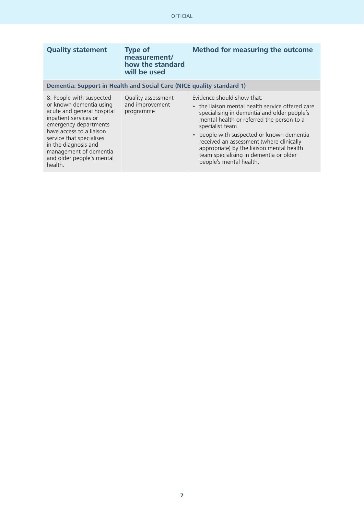| <b>Quality statement</b>                                                                                                                                                                                                                                                              | <b>Type of</b><br>measurement/<br>how the standard<br>will be used | <b>Method for measuring the outcome</b>                                                                                                                                                                                                                                                                                                                                                                |  |
|---------------------------------------------------------------------------------------------------------------------------------------------------------------------------------------------------------------------------------------------------------------------------------------|--------------------------------------------------------------------|--------------------------------------------------------------------------------------------------------------------------------------------------------------------------------------------------------------------------------------------------------------------------------------------------------------------------------------------------------------------------------------------------------|--|
| Dementia: Support in Health and Social Care (NICE quality standard 1)                                                                                                                                                                                                                 |                                                                    |                                                                                                                                                                                                                                                                                                                                                                                                        |  |
| 8. People with suspected<br>or known dementia using<br>acute and general hospital<br>inpatient services or<br>emergency departments<br>have access to a liaison<br>service that specialises<br>in the diagnosis and<br>management of dementia<br>and older people's mental<br>health. | Quality assessment<br>and improvement<br>programme                 | Evidence should show that:<br>• the liaison mental health service offered care<br>specialising in dementia and older people's<br>mental health or referred the person to a<br>specialist team<br>people with suspected or known dementia<br>received an assessment (where clinically<br>appropriate) by the liaison mental health<br>team specialising in dementia or older<br>people's mental health. |  |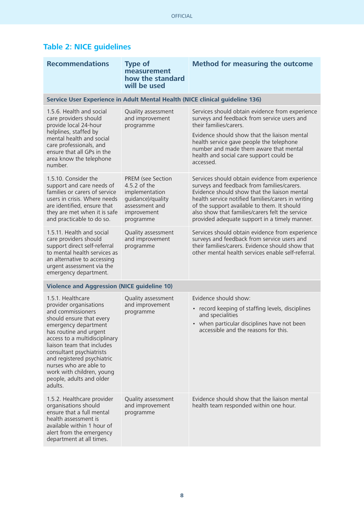| <b>Table 2: NICE guidelines</b> |  |
|---------------------------------|--|
|---------------------------------|--|

| <b>Recommendations</b>                                                                                                                                                                                                                                                                                                                                                | <b>Type of</b><br>measurement<br>how the standard<br>will be used                                                             | <b>Method for measuring the outcome</b>                                                                                                                                                                                                                                                                                                                |  |
|-----------------------------------------------------------------------------------------------------------------------------------------------------------------------------------------------------------------------------------------------------------------------------------------------------------------------------------------------------------------------|-------------------------------------------------------------------------------------------------------------------------------|--------------------------------------------------------------------------------------------------------------------------------------------------------------------------------------------------------------------------------------------------------------------------------------------------------------------------------------------------------|--|
| Service User Experience in Adult Mental Health (NICE clinical guideline 136)                                                                                                                                                                                                                                                                                          |                                                                                                                               |                                                                                                                                                                                                                                                                                                                                                        |  |
| 1.5.6. Health and social<br>care providers should<br>provide local 24-hour<br>helplines, staffed by<br>mental health and social<br>care professionals, and<br>ensure that all GPs in the<br>area know the telephone<br>number.                                                                                                                                        | Quality assessment<br>and improvement<br>programme                                                                            | Services should obtain evidence from experience<br>surveys and feedback from service users and<br>their families/carers.<br>Evidence should show that the liaison mental<br>health service gave people the telephone<br>number and made them aware that mental<br>health and social care support could be<br>accessed.                                 |  |
| 1.5.10. Consider the<br>support and care needs of<br>families or carers of service<br>users in crisis. Where needs<br>are identified, ensure that<br>they are met when it is safe<br>and practicable to do so.                                                                                                                                                        | <b>PREM</b> (see Section<br>4.5.2 of the<br>implementation<br>guidance)/quality<br>assessment and<br>improvement<br>programme | Services should obtain evidence from experience<br>surveys and feedback from families/carers.<br>Evidence should show that the liaison mental<br>health service notified families/carers in writing<br>of the support available to them. It should<br>also show that families/carers felt the service<br>provided adequate support in a timely manner. |  |
| 1.5.11. Health and social<br>care providers should<br>support direct self-referral<br>to mental health services as<br>an alternative to accessing<br>urgent assessment via the<br>emergency department.                                                                                                                                                               | Quality assessment<br>and improvement<br>programme                                                                            | Services should obtain evidence from experience<br>surveys and feedback from service users and<br>their families/carers. Evidence should show that<br>other mental health services enable self-referral.                                                                                                                                               |  |
| <b>Violence and Aggression (NICE guideline 10)</b>                                                                                                                                                                                                                                                                                                                    |                                                                                                                               |                                                                                                                                                                                                                                                                                                                                                        |  |
| 1.5.1. Healthcare<br>provider organisations<br>and commissioners<br>should ensure that every<br>emergency department<br>has routine and urgent<br>access to a multidisciplinary<br>liaison team that includes<br>consultant psychiatrists<br>and registered psychiatric<br>nurses who are able to<br>work with children, young<br>people, adults and older<br>adults. | Quality assessment<br>and improvement<br>programme                                                                            | Evidence should show:<br>• record keeping of staffing levels, disciplines<br>and specialities<br>• when particular disciplines have not been<br>accessible and the reasons for this.                                                                                                                                                                   |  |
| 1.5.2. Healthcare provider<br>organisations should<br>ensure that a full mental<br>health assessment is<br>available within 1 hour of<br>alert from the emergency<br>department at all times.                                                                                                                                                                         | Quality assessment<br>and improvement<br>programme                                                                            | Evidence should show that the liaison mental<br>health team responded within one hour.                                                                                                                                                                                                                                                                 |  |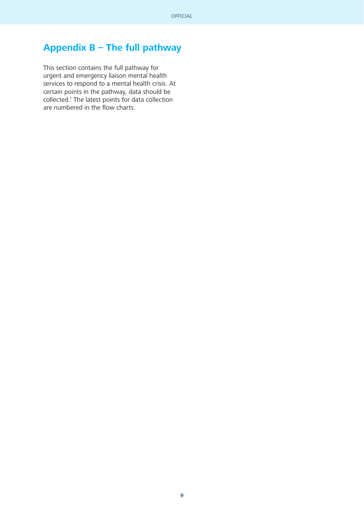### **Appendix B – The full pathway**

This section contains the full pathway for urgent and emergency liaison mental health services to respond to a mental health crisis. At certain points in the pathway, data should be collected.1 The latest points for data collection are numbered in the flow charts.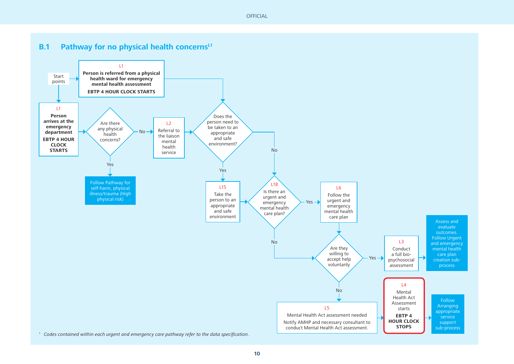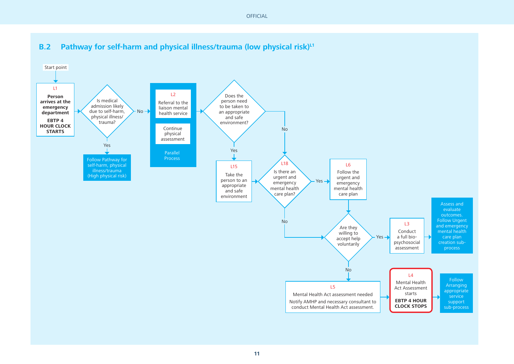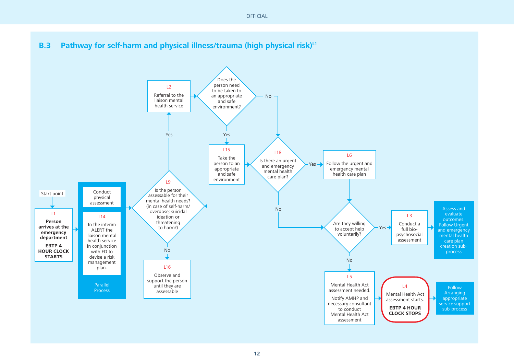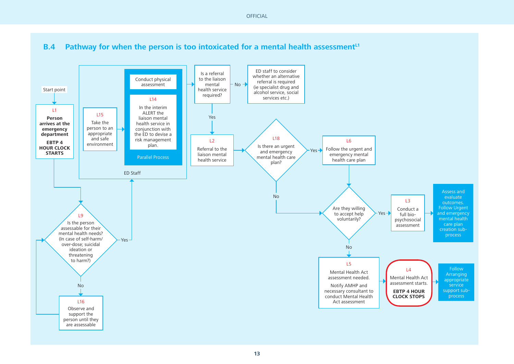

**13**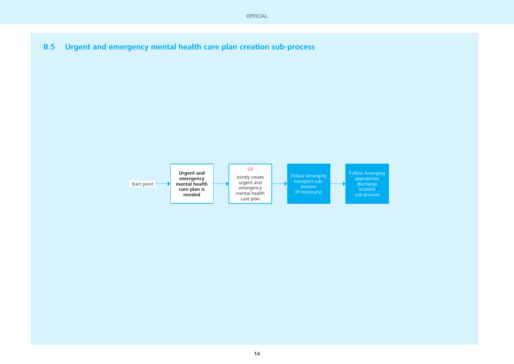**B.5Urgent and emergency mental health care plan creation sub-process** 

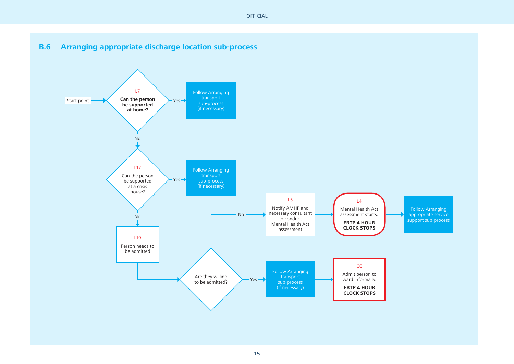#### **B.6Arranging appropriate discharge location sub-process**

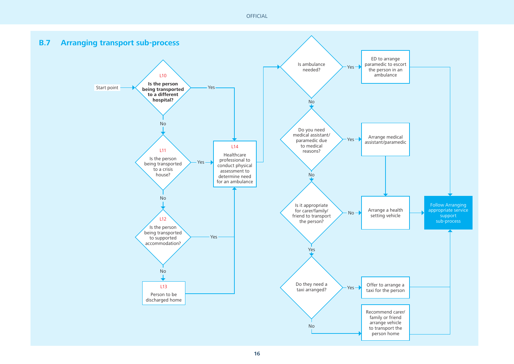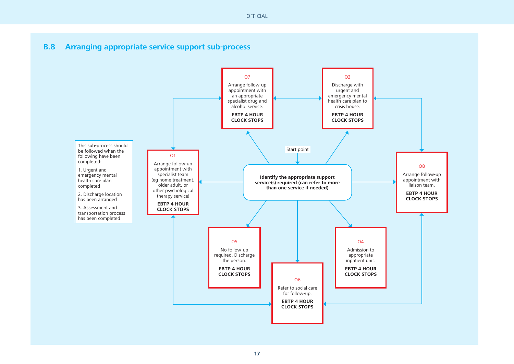#### **B.8Arranging appropriate service support sub-process**

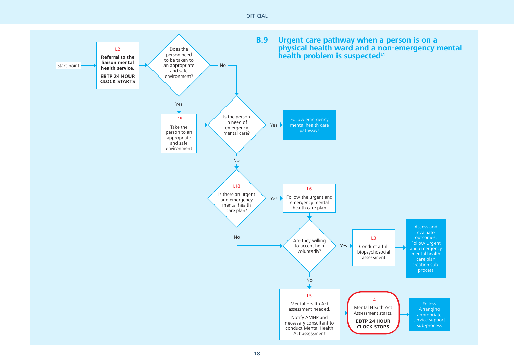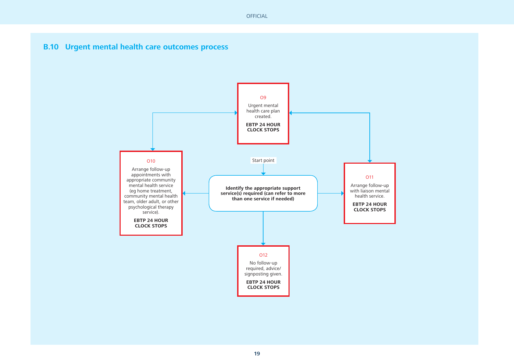#### **B.10 Urgent mental health care outcomes process**

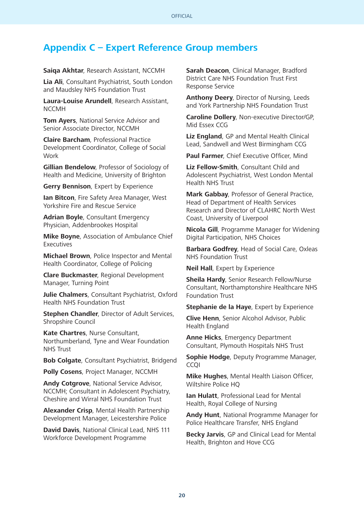### **Appendix C – Expert Reference Group members**

#### **Saiqa Akhtar**, Research Assistant, NCCMH

**Lia Ali**, Consultant Psychiatrist, South London and Maudsley NHS Foundation Trust

**Laura-Louise Arundell**, Research Assistant, NCCMH

**Tom Ayers**, National Service Advisor and Senior Associate Director, NCCMH

**Claire Barcham**, Professional Practice Development Coordinator, College of Social **Work** 

**Gillian Bendelow**, Professor of Sociology of Health and Medicine, University of Brighton

**Gerry Bennison**, Expert by Experience

**Ian Bitcon**, Fire Safety Area Manager, West Yorkshire Fire and Rescue Service

**Adrian Boyle**, Consultant Emergency Physician, Addenbrookes Hospital

**Mike Boyne**, Association of Ambulance Chief Executives

**Michael Brown**, Police Inspector and Mental Health Coordinator, College of Policing

**Clare Buckmaster**, Regional Development Manager, Turning Point

**Julie Chalmers**, Consultant Psychiatrist, Oxford Health NHS Foundation Trust

**Stephen Chandler**, Director of Adult Services, Shropshire Council

**Kate Chartres**, Nurse Consultant, Northumberland, Tyne and Wear Foundation NHS Trust

**Bob Colgate**, Consultant Psychiatrist, Bridgend

**Polly Cosens**, Project Manager, NCCMH

**Andy Cotgrove**, National Service Advisor, NCCMH; Consultant in Adolescent Psychiatry, Cheshire and Wirral NHS Foundation Trust

**Alexander Crisp**, Mental Health Partnership Development Manager, Leicestershire Police

**David Davis**, National Clinical Lead, NHS 111 Workforce Development Programme

**Sarah Deacon**, Clinical Manager, Bradford District Care NHS Foundation Trust First Response Service

**Anthony Deery**, Director of Nursing, Leeds and York Partnership NHS Foundation Trust

**Caroline Dollery**, Non-executive Director/GP, Mid Essex CCG

**Liz England**, GP and Mental Health Clinical Lead, Sandwell and West Birmingham CCG

**Paul Farmer**, Chief Executive Officer, Mind

**Liz Fellow-Smith**, Consultant Child and Adolescent Psychiatrist, West London Mental Health NHS Trust

**Mark Gabbay**, Professor of General Practice, Head of Department of Health Services Research and Director of CLAHRC North West Coast, University of Liverpool

**Nicola Gill**, Programme Manager for Widening Digital Participation, NHS Choices

**Barbara Godfrey**, Head of Social Care, Oxleas NHS Foundation Trust

**Neil Hall**, Expert by Experience

**Sheila Hardy**, Senior Research Fellow/Nurse Consultant, Northamptonshire Healthcare NHS Foundation Trust

**Stephanie de la Haye**, Expert by Experience

**Clive Henn**, Senior Alcohol Advisor, Public Health England

**Anne Hicks**, Emergency Department Consultant, Plymouth Hospitals NHS Trust

**Sophie Hodge**, Deputy Programme Manager, CCQI

**Mike Hughes**, Mental Health Liaison Officer, Wiltshire Police HQ

**Ian Hulatt**, Professional Lead for Mental Health, Royal College of Nursing

**Andy Hunt**, National Programme Manager for Police Healthcare Transfer, NHS England

**Becky Jarvis**, GP and Clinical Lead for Mental Health, Brighton and Hove CCG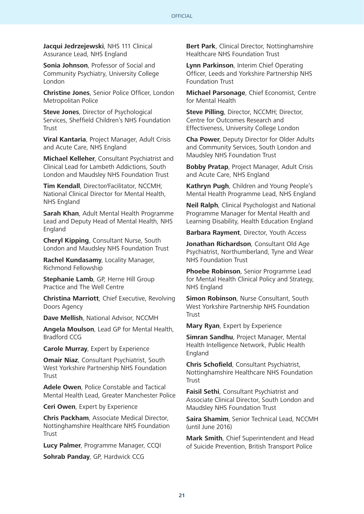**Jacqui Jedrzejewski**, NHS 111 Clinical Assurance Lead, NHS England

**Sonia Johnson**, Professor of Social and Community Psychiatry, University College London

**Christine Jones**, Senior Police Officer, London Metropolitan Police

**Steve Jones**, Director of Psychological Services, Sheffield Children's NHS Foundation **Trust** 

**Viral Kantaria**, Project Manager, Adult Crisis and Acute Care, NHS England

**Michael Kelleher**, Consultant Psychiatrist and Clinical Lead for Lambeth Addictions, South London and Maudsley NHS Foundation Trust

**Tim Kendall**, Director/Facilitator, NCCMH; National Clinical Director for Mental Health, NHS England

**Sarah Khan**, Adult Mental Health Programme Lead and Deputy Head of Mental Health, NHS England

**Cheryl Kipping**, Consultant Nurse, South London and Maudsley NHS Foundation Trust

**Rachel Kundasamy**, Locality Manager, Richmond Fellowship

**Stephanie Lamb**, GP, Herne Hill Group Practice and The Well Centre

**Christina Marriott**, Chief Executive, Revolving Doors Agency

**Dave Mellish**, National Advisor, NCCMH

**Angela Moulson**, Lead GP for Mental Health, Bradford CCG

**Carole Murray**, Expert by Experience

**Omair Niaz**, Consultant Psychiatrist, South West Yorkshire Partnership NHS Foundation Trust

**Adele Owen**, Police Constable and Tactical Mental Health Lead, Greater Manchester Police

**Ceri Owen**, Expert by Experience

**Chris Packham**, Associate Medical Director, Nottinghamshire Healthcare NHS Foundation **Trust** 

**Lucy Palmer**, Programme Manager, CCQI

**Sohrab Panday**, GP, Hardwick CCG

**Bert Park**, Clinical Director, Nottinghamshire Healthcare NHS Foundation Trust

**Lynn Parkinson**, Interim Chief Operating Officer, Leeds and Yorkshire Partnership NHS Foundation Trust

**Michael Parsonage**, Chief Economist, Centre for Mental Health

**Steve Pilling**, Director, NCCMH; Director, Centre for Outcomes Research and Effectiveness, University College London

**Cha Power**, Deputy Director for Older Adults and Community Services, South London and Maudsley NHS Foundation Trust

**Bobby Pratap**, Project Manager, Adult Crisis and Acute Care, NHS England

**Kathryn Pugh**, Children and Young People's Mental Health Programme Lead, NHS England

**Neil Ralph**, Clinical Psychologist and National Programme Manager for Mental Health and Learning Disability, Health Education England

**Barbara Rayment**, Director, Youth Access

**Jonathan Richardson**, Consultant Old Age Psychiatrist, Northumberland, Tyne and Wear NHS Foundation Trust

**Phoebe Robinson**, Senior Programme Lead for Mental Health Clinical Policy and Strategy, NHS England

**Simon Robinson**, Nurse Consultant, South West Yorkshire Partnership NHS Foundation **Trust** 

**Mary Ryan**, Expert by Experience

**Simran Sandhu**, Project Manager, Mental Health Intelligence Network, Public Health England

**Chris Schofield**, Consultant Psychiatrist, Nottinghamshire Healthcare NHS Foundation **Trust** 

**Faisil Sethi**, Consultant Psychiatrist and Associate Clinical Director, South London and Maudsley NHS Foundation Trust

**Saira Shamim**, Senior Technical Lead, NCCMH (until June 2016)

**Mark Smith**, Chief Superintendent and Head of Suicide Prevention, British Transport Police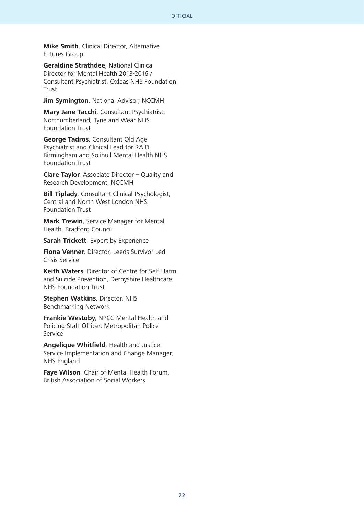**Mike Smith**, Clinical Director, Alternative Futures Group

**Geraldine Strathdee**, National Clinical Director for Mental Health 2013-2016 / Consultant Psychiatrist, Oxleas NHS Foundation **Trust** 

**Jim Symington**, National Advisor, NCCMH

**Mary-Jane Tacchi**, Consultant Psychiatrist, Northumberland, Tyne and Wear NHS Foundation Trust

**George Tadros**, Consultant Old Age Psychiatrist and Clinical Lead for RAID, Birmingham and Solihull Mental Health NHS Foundation Trust

**Clare Taylor**, Associate Director – Quality and Research Development, NCCMH

**Bill Tiplady**, Consultant Clinical Psychologist, Central and North West London NHS Foundation Trust

**Mark Trewin**, Service Manager for Mental Health, Bradford Council

**Sarah Trickett**, Expert by Experience

**Fiona Venner**, Director, Leeds Survivor-Led Crisis Service

**Keith Waters**, Director of Centre for Self Harm and Suicide Prevention, Derbyshire Healthcare NHS Foundation Trust

**Stephen Watkins**, Director, NHS Benchmarking Network

**Frankie Westoby**, NPCC Mental Health and Policing Staff Officer, Metropolitan Police **Service** 

**Angelique Whitfield**, Health and Justice Service Implementation and Change Manager, NHS England

**Faye Wilson**, Chair of Mental Health Forum, British Association of Social Workers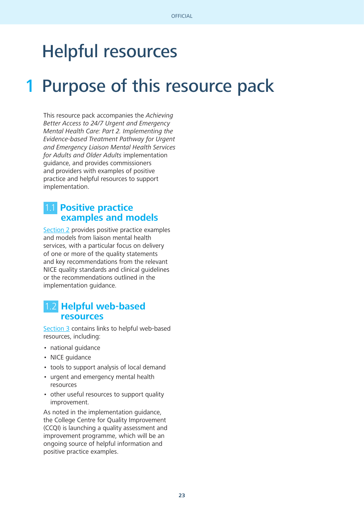## Helpful resources

## 1 Purpose of this resource pack

This resource pack accompanies the Achieving Better Access to 24/7 Urgent and Emergency Mental Health Care: Part 2. Implementing the Evidence-based Treatment Pathway for Urgent and Emergency Liaison Mental Health Services for Adults and Older Adults implementation guidance, and provides commissioners and providers with examples of positive practice and helpful resources to support implementation.

### 1.1 **Positive practice examples and models**

[Section 2](#page-23-0) provides positive practice examples and models from liaison mental health services, with a particular focus on delivery of one or more of the quality statements and key recommendations from the relevant NICE quality standards and clinical guidelines or the recommendations outlined in the implementation guidance.

#### 1.2 **Helpful web-based resources**

[Section 3](#page-31-0) contains links to helpful web-based resources, including:

- national guidance
- NICE guidance
- tools to support analysis of local demand
- urgent and emergency mental health resources
- other useful resources to support quality improvement.

As noted in the implementation guidance, the College Centre for Quality Improvement (CCQI) is launching a quality assessment and improvement programme, which will be an ongoing source of helpful information and positive practice examples.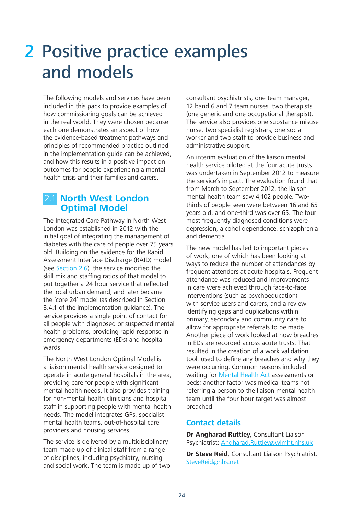## <span id="page-23-0"></span>2 Positive practice examples and models

The following models and services have been included in this pack to provide examples of how commissioning goals can be achieved in the real world. They were chosen because each one demonstrates an aspect of how the evidence-based treatment pathways and principles of recommended practice outlined in the implementation guide can be achieved, and how this results in a positive impact on outcomes for people experiencing a mental health crisis and their families and carers.

### 2.1 **North West London Optimal Model**

The Integrated Care Pathway in North West London was established in 2012 with the initial goal of integrating the management of diabetes with the care of people over 75 years old. Building on the evidence for the Rapid Assessment Interface Discharge (RAID) model (see [Section 2.6](#page-29-0)), the service modified the skill mix and staffing ratios of that model to put together a 24-hour service that reflected the local urban demand, and later became the 'core 24' model (as described in Section 3.4.1 of the implementation guidance). The service provides a single point of contact for all people with diagnosed or suspected mental health problems, providing rapid response in emergency departments (EDs) and hospital wards.

The North West London Optimal Model is a liaison mental health service designed to operate in acute general hospitals in the area, providing care for people with significant mental health needs. It also provides training for non-mental health clinicians and hospital staff in supporting people with mental health needs. The model integrates GPs, specialist mental health teams, out-of-hospital care providers and housing services.

The service is delivered by a multidisciplinary team made up of clinical staff from a range of disciplines, including psychiatry, nursing and social work. The team is made up of two consultant psychiatrists, one team manager, 12 band 6 and 7 team nurses, two therapists (one generic and one occupational therapist). The service also provides one substance misuse nurse, two specialist registrars, one social worker and two staff to provide business and administrative support.

An interim evaluation of the liaison mental health service piloted at the four acute trusts was undertaken in September 2012 to measure the service's impact. The evaluation found that from March to September 2012, the liaison mental health team saw 4,102 people. Twothirds of people seen were between 16 and 65 years old, and one-third was over 65. The four most frequently diagnosed conditions were depression, alcohol dependence, schizophrenia and dementia.

The new model has led to important pieces of work, one of which has been looking at ways to reduce the number of attendances by frequent attenders at acute hospitals. Frequent attendance was reduced and improvements in care were achieved through face-to-face interventions (such as psychoeducation) with service users and carers, and a review identifying gaps and duplications within primary, secondary and community care to allow for appropriate referrals to be made. Another piece of work looked at how breaches in EDs are recorded across acute trusts. That resulted in the creation of a work validation tool, used to define any breaches and why they were occurring. Common reasons included waiting for [Mental Health Act](http://www.legislation.gov.uk/ukpga/1983/20/contents) assessments or beds; another factor was medical teams not referring a person to the liaison mental health team until the four-hour target was almost breached.

#### **Contact details**

**Dr Angharad Ruttley**, Consultant Liaison Psychiatrist: [Angharad.Ruttley@wlmht.nhs.uk](mailto:Angharad.Ruttley%40wlmht.nhs.uk?subject=)

**Dr Steve Reid**, Consultant Liaison Psychiatrist: [SteveReid@nhs.net](mailto:SteveReid%40nhs.net?subject=)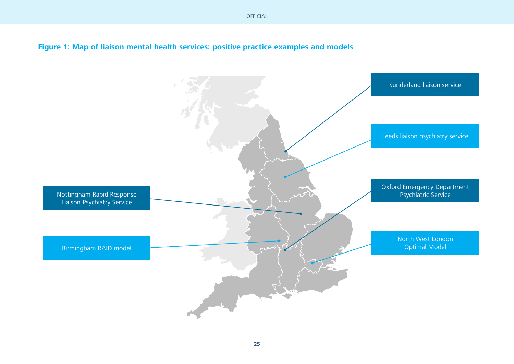#### **Figure 1: Map of liaison mental health services: positive practice examples and models**

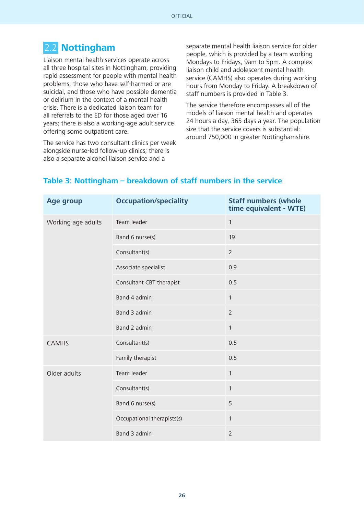## 2.2 **Nottingham**

Liaison mental health services operate across all three hospital sites in Nottingham, providing rapid assessment for people with mental health problems, those who have self-harmed or are suicidal, and those who have possible dementia or delirium in the context of a mental health crisis. There is a dedicated liaison team for all referrals to the ED for those aged over 16 years; there is also a working-age adult service offering some outpatient care.

The service has two consultant clinics per week alongside nurse-led follow-up clinics; there is also a separate alcohol liaison service and a

separate mental health liaison service for older people, which is provided by a team working Mondays to Fridays, 9am to 5pm. A complex liaison child and adolescent mental health service (CAMHS) also operates during working hours from Monday to Friday. A breakdown of staff numbers is provided in Table 3.

The service therefore encompasses all of the models of liaison mental health and operates 24 hours a day, 365 days a year. The population size that the service covers is substantial: around 750,000 in greater Nottinghamshire.

| <b>Age group</b>   | <b>Occupation/speciality</b> | <b>Staff numbers (whole</b><br>time equivalent - WTE) |
|--------------------|------------------------------|-------------------------------------------------------|
| Working age adults | Team leader                  | $\mathbf{1}$                                          |
|                    | Band 6 nurse(s)              | 19                                                    |
|                    | Consultant(s)                | $\overline{2}$                                        |
|                    | Associate specialist         | 0.9                                                   |
|                    | Consultant CBT therapist     | 0.5                                                   |
|                    | Band 4 admin                 | $\mathbf{1}$                                          |
|                    | Band 3 admin                 | $\overline{2}$                                        |
|                    | Band 2 admin                 | $\mathbf{1}$                                          |
| <b>CAMHS</b>       | Consultant(s)                | 0.5                                                   |
|                    | Family therapist             | 0.5                                                   |
| Older adults       | Team leader                  | $\mathbf{1}$                                          |
|                    | Consultant(s)                | $\mathbf{1}$                                          |
|                    | Band 6 nurse(s)              | 5                                                     |
|                    | Occupational therapists(s)   | $\mathbf{1}$                                          |
|                    | Band 3 admin                 | $\overline{2}$                                        |

#### **Table 3: Nottingham – breakdown of staff numbers in the service**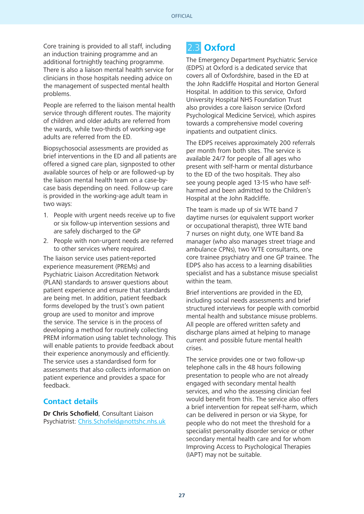Core training is provided to all staff, including an induction training programme and an additional fortnightly teaching programme. There is also a liaison mental health service for clinicians in those hospitals needing advice on the management of suspected mental health problems.

People are referred to the liaison mental health service through different routes. The majority of children and older adults are referred from the wards, while two-thirds of working-age adults are referred from the ED.

Biopsychosocial assessments are provided as brief interventions in the ED and all patients are offered a signed care plan, signposted to other available sources of help or are followed-up by the liaison mental health team on a case-bycase basis depending on need. Follow-up care is provided in the working-age adult team in two ways:

- 1. People with urgent needs receive up to five or six follow-up intervention sessions and are safely discharged to the GP
- 2. People with non-urgent needs are referred to other services where required.

The liaison service uses patient-reported experience measurement (PREMs) and Psychiatric Liaison Accreditation Network (PLAN) standards to answer questions about patient experience and ensure that standards are being met. In addition, patient feedback forms developed by the trust's own patient group are used to monitor and improve the service. The service is in the process of developing a method for routinely collecting PREM information using tablet technology. This will enable patients to provide feedback about their experience anonymously and efficiently. The service uses a standardised form for assessments that also collects information on patient experience and provides a space for feedback.

#### **Contact details**

**Dr Chris Schofield**, Consultant Liaison Psychiatrist: [Chris.Schofield@nottshc.nhs.uk](mailto:Chris.Schofield%40nottshc.nhs.uk?subject=)

### 2.3 **Oxford**

The Emergency Department Psychiatric Service (EDPS) at Oxford is a dedicated service that covers all of Oxfordshire, based in the ED at the John Radcliffe Hospital and Horton General Hospital. In addition to this service, Oxford University Hospital NHS Foundation Trust also provides a core liaison service (Oxford Psychological Medicine Service), which aspires towards a comprehensive model covering inpatients and outpatient clinics.

The EDPS receives approximately 200 referrals per month from both sites. The service is available 24/7 for people of all ages who present with self-harm or mental disturbance to the ED of the two hospitals. They also see young people aged 13-15 who have selfharmed and been admitted to the Children's Hospital at the John Radcliffe.

The team is made up of six WTE band 7 daytime nurses (or equivalent support worker or occupational therapist), three WTE band 7 nurses on night duty, one WTE band 8a manager (who also manages street triage and ambulance CPNs), two WTE consultants, one core trainee psychiatry and one GP trainee. The EDPS also has access to a learning disabilities specialist and has a substance misuse specialist within the team.

Brief interventions are provided in the ED, including social needs assessments and brief structured interviews for people with comorbid mental health and substance misuse problems. All people are offered written safety and discharge plans aimed at helping to manage current and possible future mental health crises.

The service provides one or two follow-up telephone calls in the 48 hours following presentation to people who are not already engaged with secondary mental health services, and who the assessing clinician feel would benefit from this. The service also offers a brief intervention for repeat self-harm, which can be delivered in person or via Skype, for people who do not meet the threshold for a specialist personality disorder service or other secondary mental health care and for whom Improving Access to Psychological Therapies (IAPT) may not be suitable.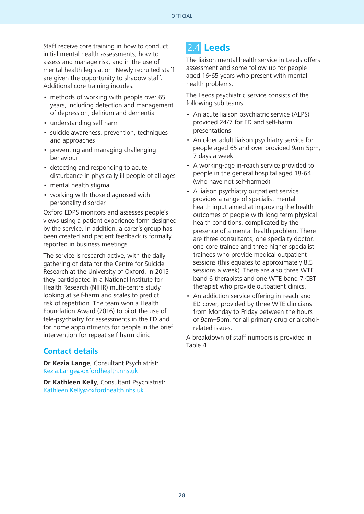Staff receive core training in how to conduct initial mental health assessments, how to assess and manage risk, and in the use of mental health legislation. Newly recruited staff are given the opportunity to shadow staff. Additional core training incudes:

- methods of working with people over 65 years, including detection and management of depression, delirium and dementia
- understanding self-harm
- suicide awareness, prevention, techniques and approaches
- preventing and managing challenging behaviour
- detecting and responding to acute disturbance in physically ill people of all ages
- mental health stigma
- working with those diagnosed with personality disorder.

Oxford EDPS monitors and assesses people's views using a patient experience form designed by the service. In addition, a carer's group has been created and patient feedback is formally reported in business meetings.

The service is research active, with the daily gathering of data for the Centre for Suicide Research at the University of Oxford. In 2015 they participated in a National Institute for Health Research (NIHR) multi-centre study looking at self-harm and scales to predict risk of repetition. The team won a Health Foundation Award (2016) to pilot the use of tele-psychiatry for assessments in the ED and for home appointments for people in the brief intervention for repeat self-harm clinic.

#### **Contact details**

**Dr Kezia Lange**, Consultant Psychiatrist: [Kezia.Lange@oxfordhealth.nhs.uk](mailto:Kezia.Lange%40oxfordhealth.nhs.uk?subject=)

**Dr Kathleen Kelly**, Consultant Psychiatrist: [Kathleen.Kelly@oxfordhealth.nhs.uk](mailto:Kathleen.Kelly%40oxfordhealth.nhs.uk?subject=)

## 2.4 **Leeds**

The liaison mental health service in Leeds offers assessment and some follow-up for people aged 16-65 years who present with mental health problems.

The Leeds psychiatric service consists of the following sub teams:

- An acute liaison psychiatric service (ALPS) provided 24/7 for ED and self-harm presentations
- An older adult liaison psychiatry service for people aged 65 and over provided 9am-5pm, 7 days a week
- A working-age in-reach service provided to people in the general hospital aged 18-64 (who have not self-harmed)
- A liaison psychiatry outpatient service provides a range of specialist mental health input aimed at improving the health outcomes of people with long-term physical health conditions, complicated by the presence of a mental health problem. There are three consultants, one specialty doctor, one core trainee and three higher specialist trainees who provide medical outpatient sessions (this equates to approximately 8.5 sessions a week). There are also three WTE band 6 therapists and one WTE band 7 CBT therapist who provide outpatient clinics.
- An addiction service offering in-reach and ED cover, provided by three WTE clinicians from Monday to Friday between the hours of 9am–5pm, for all primary drug or alcoholrelated issues.

A breakdown of staff numbers is provided in Table 4.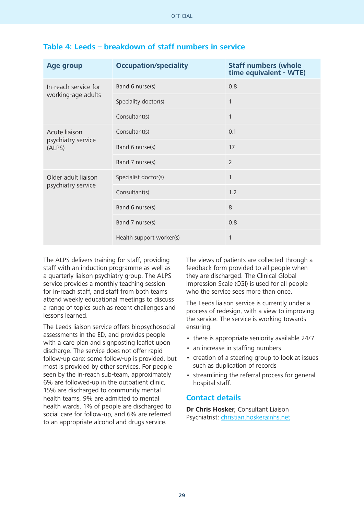| <b>Age group</b>             | <b>Occupation/speciality</b> | <b>Staff numbers (whole</b><br>time equivalent - WTE) |
|------------------------------|------------------------------|-------------------------------------------------------|
| In-reach service for         | Band 6 nurse(s)              | 0.8                                                   |
| working-age adults           | Speciality doctor(s)         | $\mathbf{1}$                                          |
|                              | Consultant(s)                | 1                                                     |
| Acute liaison                | Consultant(s)                | 0.1                                                   |
| psychiatry service<br>(ALPS) | Band 6 nurse(s)              | 17                                                    |
|                              | Band 7 nurse(s)              | $\overline{2}$                                        |
| Older adult liaison          | Specialist doctor(s)         | 1                                                     |
| psychiatry service           | Consultant(s)                | 1.2                                                   |
|                              | Band 6 nurse(s)              | 8                                                     |
|                              | Band 7 nurse(s)              | 0.8                                                   |
|                              | Health support worker(s)     | 1                                                     |

#### **Table 4: Leeds – breakdown of staff numbers in service**

The ALPS delivers training for staff, providing staff with an induction programme as well as a quarterly liaison psychiatry group. The ALPS service provides a monthly teaching session for in-reach staff, and staff from both teams attend weekly educational meetings to discuss a range of topics such as recent challenges and lessons learned.

The Leeds liaison service offers biopsychosocial assessments in the ED, and provides people with a care plan and signposting leaflet upon discharge. The service does not offer rapid follow-up care: some follow-up is provided, but most is provided by other services. For people seen by the in-reach sub-team, approximately 6% are followed-up in the outpatient clinic, 15% are discharged to community mental health teams, 9% are admitted to mental health wards, 1% of people are discharged to social care for follow-up, and 6% are referred to an appropriate alcohol and drugs service.

The views of patients are collected through a feedback form provided to all people when they are discharged. The Clinical Global Impression Scale (CGI) is used for all people who the service sees more than once.

The Leeds liaison service is currently under a process of redesign, with a view to improving the service. The service is working towards ensuring:

- there is appropriate seniority available 24/7
- an increase in staffing numbers
- creation of a steering group to look at issues such as duplication of records
- streamlining the referral process for general hospital staff.

#### **Contact details**

**Dr Chris Hosker**, Consultant Liaison Psychiatrist: [christian.hosker@nhs.net](mailto:christian.hosker%40nhs.net?subject=)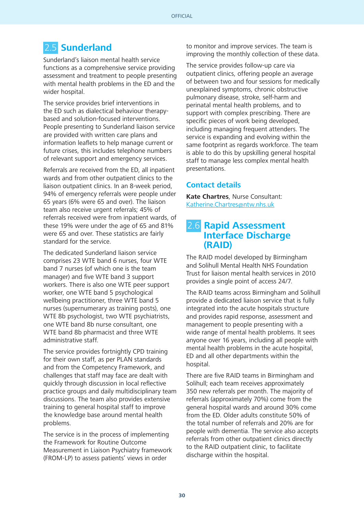### <span id="page-29-0"></span>2.5 **Sunderland**

Sunderland's liaison mental health service functions as a comprehensive service providing assessment and treatment to people presenting with mental health problems in the ED and the wider hospital.

The service provides brief interventions in the ED such as dialectical behaviour therapybased and solution-focused interventions. People presenting to Sunderland liaison service are provided with written care plans and information leaflets to help manage current or future crises, this includes telephone numbers of relevant support and emergency services.

Referrals are received from the ED, all inpatient wards and from other outpatient clinics to the liaison outpatient clinics. In an 8-week period, 94% of emergency referrals were people under 65 years (6% were 65 and over). The liaison team also receive urgent referrals; 45% of referrals received were from inpatient wards, of these 19% were under the age of 65 and 81% were 65 and over. These statistics are fairly standard for the service.

The dedicated Sunderland liaison service comprises 23 WTE band 6 nurses, four WTE band 7 nurses (of which one is the team manager) and five WTE band 3 support workers. There is also one WTE peer support worker, one WTE band 5 psychological wellbeing practitioner, three WTE band 5 nurses (supernumerary as training posts), one WTE 8b psychologist, two WTE psychiatrists, one WTE band 8b nurse consultant, one WTE band 8b pharmacist and three WTE administrative staff.

The service provides fortnightly CPD training for their own staff, as per PLAN standards and from the Competency Framework, and challenges that staff may face are dealt with quickly through discussion in local reflective practice groups and daily multidisciplinary team discussions. The team also provides extensive training to general hospital staff to improve the knowledge base around mental health problems.

The service is in the process of implementing the Framework for Routine Outcome Measurement in Liaison Psychiatry framework (FROM-LP) to assess patients' views in order

to monitor and improve services. The team is improving the monthly collection of these data.

The service provides follow-up care via outpatient clinics, offering people an average of between two and four sessions for medically unexplained symptoms, chronic obstructive pulmonary disease, stroke, self-harm and perinatal mental health problems, and to support with complex prescribing. There are specific pieces of work being developed, including managing frequent attenders. The service is expanding and evolving within the same footprint as regards workforce. The team is able to do this by upskilling general hospital staff to manage less complex mental health presentations.

#### **Contact details**

**Kate Chartres**, Nurse Consultant: [Katherine.Chartres@ntw.nhs.uk](mailto:Katherine.Chartres%40ntw.nhs.uk?subject=)

#### 2.6 **Rapid Assessment Interface Discharge (RAID)**

The RAID model developed by Birmingham and Solihull Mental Health NHS Foundation Trust for liaison mental health services in 2010 provides a single point of access 24/7.

The RAID teams across Birmingham and Solihull provide a dedicated liaison service that is fully integrated into the acute hospitals structure and provides rapid response, assessment and management to people presenting with a wide range of mental health problems. It sees anyone over 16 years, including all people with mental health problems in the acute hospital, ED and all other departments within the hospital.

There are five RAID teams in Birmingham and Solihull; each team receives approximately 350 new referrals per month. The majority of referrals (approximately 70%) come from the general hospital wards and around 30% come from the ED. Older adults constitute 50% of the total number of referrals and 20% are for people with dementia. The service also accepts referrals from other outpatient clinics directly to the RAID outpatient clinic, to facilitate discharge within the hospital.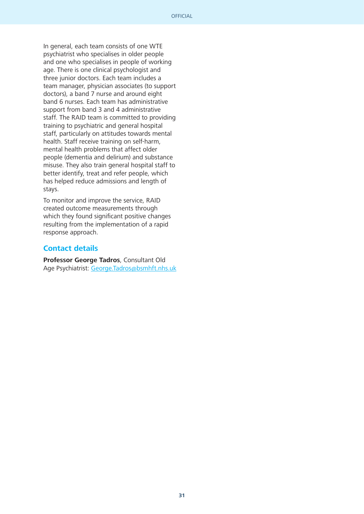In general, each team consists of one WTE psychiatrist who specialises in older people and one who specialises in people of working age. There is one clinical psychologist and three junior doctors. Each team includes a team manager, physician associates (to support doctors), a band 7 nurse and around eight band 6 nurses. Each team has administrative support from band 3 and 4 administrative staff. The RAID team is committed to providing training to psychiatric and general hospital staff, particularly on attitudes towards mental health. Staff receive training on self-harm, mental health problems that affect older people (dementia and delirium) and substance misuse. They also train general hospital staff to better identify, treat and refer people, which has helped reduce admissions and length of stays.

To monitor and improve the service, RAID created outcome measurements through which they found significant positive changes resulting from the implementation of a rapid response approach.

#### **Contact details**

**Professor George Tadros**, Consultant Old Age Psychiatrist: [George.Tadros@bsmhft.nhs.uk](mailto:George.Tadros%40bsmhft.nhs.uk?subject=)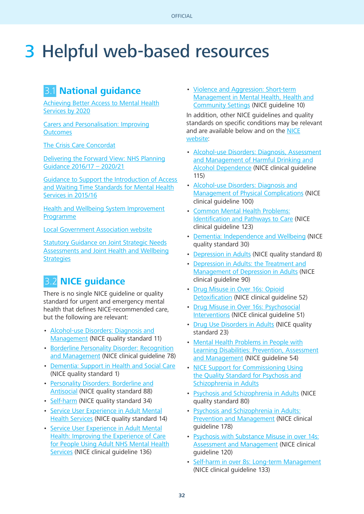## <span id="page-31-0"></span>3 Helpful web-based resources

### 3.1 **National guidance**

[Achieving Better Access to Mental Health](https://www.gov.uk/government/uploads/system/uploads/attachment_data/file/361648/mental-health-access.pdf) [Services by 2020](https://www.gov.uk/government/uploads/system/uploads/attachment_data/file/361648/mental-health-access.pdf)

[Carers and Personalisation: Improving](https://www.gov.uk/government/uploads/system/uploads/attachment_data/file/213806/dh_122383.pdf) **[Outcomes](https://www.gov.uk/government/uploads/system/uploads/attachment_data/file/213806/dh_122383.pdf)** 

[The Crisis Care Concordat](http://www.crisiscareconcordat.org.uk/wp-content/uploads/2014/04/36353_Mental_Health_Crisis_accessible.pdf)

[Delivering the Forward View: NHS Planning](https://www.england.nhs.uk/wp-content/uploads/2015/12/planning-guid-16-17-20-21.pdf) [Guidance 2016/17 – 2020/21](https://www.england.nhs.uk/wp-content/uploads/2015/12/planning-guid-16-17-20-21.pdf)

[Guidance to Support the Introduction of Access](https://www.england.nhs.uk/wp-content/uploads/2015/02/mh-access-wait-time-guid.pdf)  [and Waiting Time Standards for Mental Health](https://www.england.nhs.uk/wp-content/uploads/2015/02/mh-access-wait-time-guid.pdf) [Services in 2015/16](https://www.england.nhs.uk/wp-content/uploads/2015/02/mh-access-wait-time-guid.pdf)

[Health and Wellbeing System Improvement](http://www.local.gov.uk/documents/10180/5854661/The+Health+and+Wellbeing+System+Improvement+Programme+June+2014/7949a0d3-6433-4791-9f95-15080f80539e) [Programme](http://www.local.gov.uk/documents/10180/5854661/The+Health+and+Wellbeing+System+Improvement+Programme+June+2014/7949a0d3-6433-4791-9f95-15080f80539e)

[Local Government Association website](https://www.gov.uk/government/uploads/system/uploads/attachment_data/file/277012/Statutory-Guidance-on-Joint-Strategic-Needs-Assessments-and-Joint-Health-and-Wellbeing-Strategies-March-20131.pdf)

[Statutory Guidance on Joint Strategic Needs](https://www.gov.uk/government/uploads/system/uploads/attachment_data/file/277012/Statutory-Guidance-on-Joint-Strategic-Needs-Assessments-and-Joint-Health-and-Wellbeing-Strategies-March-20131.pdf) [Assessments and Joint Health and Wellbeing](https://www.gov.uk/government/uploads/system/uploads/attachment_data/file/277012/Statutory-Guidance-on-Joint-Strategic-Needs-Assessments-and-Joint-Health-and-Wellbeing-Strategies-March-20131.pdf) **[Strategies](https://www.gov.uk/government/uploads/system/uploads/attachment_data/file/277012/Statutory-Guidance-on-Joint-Strategic-Needs-Assessments-and-Joint-Health-and-Wellbeing-Strategies-March-20131.pdf)** 

## 3.2 **NICE guidance**

There is no single NICE guideline or quality standard for urgent and emergency mental health that defines NICE-recommended care, but the following are relevant:

- [Alcohol-use Disorders: Diagnosis and](https://www.nice.org.uk/guidance/qs11) [Management](https://www.nice.org.uk/guidance/qs11) (NICE quality standard 11)
- [Borderline Personality Disorder: Recognition](https://www.nice.org.uk/guidance/cg78) [and Management](https://www.nice.org.uk/guidance/cg78) (NICE clinical guideline 78)
- [Dementia: Support in Health and Social Care](https://www.nice.org.uk/guidance/qs1) (NICE quality standard 1)
- [Personality Disorders: Borderline and](https://www.nice.org.uk/guidance/qs88) [Antisocial](https://www.nice.org.uk/guidance/qs88) (NICE quality standard 88)
- [Self-harm](https://www.nice.org.uk/guidance/qs34) (NICE quality standard 34)
- [Service User Experience in Adult Mental](https://www.nice.org.uk/guidance/qs14) [Health Services](https://www.nice.org.uk/guidance/qs14) (NICE quality standard 14)
- [Service User Experience in Adult Mental](https://www.nice.org.uk/guidance/cg136) [Health: Improving the Experience of Care](https://www.nice.org.uk/guidance/cg136) [for People Using Adult NHS Mental Health](https://www.nice.org.uk/guidance/cg136) [Services](https://www.nice.org.uk/guidance/cg136) (NICE clinical guideline 136)

• [Violence and Aggression: Short-term](https://www.nice.org.uk/guidance/ng10) [Management in Mental Health, Health and](https://www.nice.org.uk/guidance/ng10) [Community Settings](https://www.nice.org.uk/guidance/ng10) (NICE guideline 10)

In addition, other NICE guidelines and quality standards on specific conditions may be relevant and are available below and on the [NICE](https://www.nice.org.uk/guidance/conditions-and-diseases/mental-health-and-behavioural-conditions) [website](https://www.nice.org.uk/guidance/conditions-and-diseases/mental-health-and-behavioural-conditions):

- [Alcohol-use Disorders: Diagnosis, Assessment](https://www.nice.org.uk/Guidance/cg115) [and Management of Harmful Drinking and](https://www.nice.org.uk/Guidance/cg115) [Alcohol Dependence](https://www.nice.org.uk/Guidance/cg115) (NICE clinical guideline 115)
- [Alcohol-use Disorders: Diagnosis and](https://www.nice.org.uk/guidance/cg100?unlid=93369349920162832324) [Management of Physical Complications](https://www.nice.org.uk/guidance/cg100?unlid=93369349920162832324) (NICE clinical guideline 100)
- [Common Mental Health Problems:](https://www.nice.org.uk/guidance/cg123/chapter/1-guidance#improving-access-to-services) [Identification and Pathways to Care](https://www.nice.org.uk/guidance/cg123/chapter/1-guidance#improving-access-to-services) (NICE clinical guideline 123)
- [Dementia: Independence and Wellbeing](https://www.nice.org.uk/guidance/qs30) (NICE quality standard 30)
- [Depression in Adults](https://www.nice.org.uk/guidance/qs8) (NICE quality standard 8)
- [Depression in Adults: the Treatment and](https://www.nice.org.uk/guidance/cg90) [Management of Depression in Adults](https://www.nice.org.uk/guidance/cg90) (NICE clinical guideline 90)
- [Drug Misuse in Over 16s: Opioid](https://www.nice.org.uk/guidance/cg52) [Detoxification](https://www.nice.org.uk/guidance/cg52) (NICE clinical guideline 52)
- [Drug Misuse in Over 16s: Psychosocial](https://www.nice.org.uk/guidance/cg51) [Interventions](https://www.nice.org.uk/guidance/cg51) (NICE clinical guideline 51)
- [Drug Use Disorders in Adults](https://www.nice.org.uk/guidance/qs23) (NICE quality standard 23)
- [Mental Health Problems in People with](https://www.nice.org.uk/guidance/ng54) [Learning Disabilities: Prevention, Assessment](https://www.nice.org.uk/guidance/ng54) [and Management](https://www.nice.org.uk/guidance/ng54) (NICE guideline 54)
- [NICE Support for Commissioning Using](https://www.nice.org.uk/guidance/qs80/resources/support-for-commissioning-using-the-quality-standard-for-psychosis-and-schizophrenia-in-adults-644387992261) [the Quality Standard for Psychosis and](https://www.nice.org.uk/guidance/qs80/resources/support-for-commissioning-using-the-quality-standard-for-psychosis-and-schizophrenia-in-adults-644387992261) [Schizophrenia in Adults](https://www.nice.org.uk/guidance/qs80/resources/support-for-commissioning-using-the-quality-standard-for-psychosis-and-schizophrenia-in-adults-644387992261)
- [Psychosis and Schizophrenia in Adults](https://www.nice.org.uk/guidance/qs80) (NICE quality standard 80)
- [Psychosis and Schizophrenia in Adults:](https://www.nice.org.uk/guidance/cg178) [Prevention and Management](https://www.nice.org.uk/guidance/cg178) (NICE clinical guideline 178)
- [Psychosis with Substance Misuse in over 14s:](https://www.nice.org.uk/guidance/cg120) [Assessment and Management](https://www.nice.org.uk/guidance/cg120) (NICE clinical guideline 120)
- [Self-harm in over 8s: Long-term Management](https://www.nice.org.uk/guidance/cg133) (NICE clinical guideline 133)